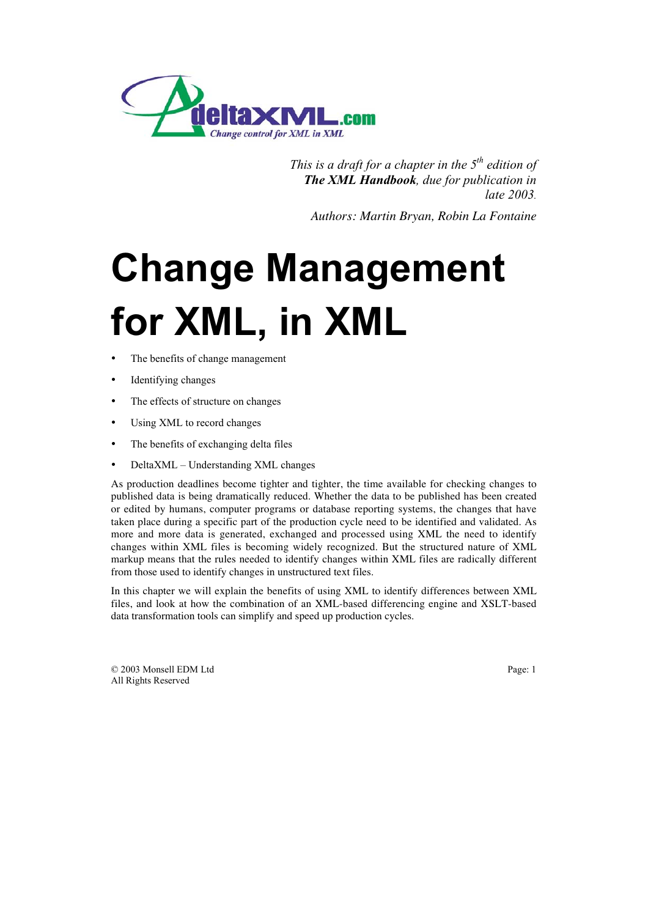

*This is a draft for a chapter in the 5th edition of The XML Handbook, due for publication in late 2003.*

*Authors: Martin Bryan, Robin La Fontaine*

# **Change Management<br>for XML, in XML for**  $\mathbf{F} = \mathbf{F} \cdot \mathbf{F} = \mathbf{F} \cdot \mathbf{F} = \mathbf{F} \cdot \mathbf{F} = \mathbf{F} \cdot \mathbf{F} = \mathbf{F} \cdot \mathbf{F}$ **<br>
• The benefits of change management**

- The benefits of change management
- Identifying changes
- The effects of structure on changes
- Using XML to record changes
- The benefits of exchanging delta files
- DeltaXML Understanding XML changes

As production deadlines become tighter and tighter, the time available for checking changes to published data is being dramatically reduced. Whether the data to be published has been created or edited by humans, computer programs or database reporting systems, the changes that have taken place during a specific part of the production cycle need to be identified and validated. As more and more data is generated, exchanged and processed using XML the need to identify changes within XML files is becoming widely recognized. But the structured nature of XML markup means that the rules needed to identify changes within XML files are radically different from those used to identify changes in unstructured text files.

In this chapter we will explain the benefits of using XML to identify differences between XML files, and look at how the combination of an XML-based differencing engine and XSLT-based data transformation tools can simplify and speed up production cycles.

© 2003 Monsell EDM Ltd Page: 1 All Rights Reserved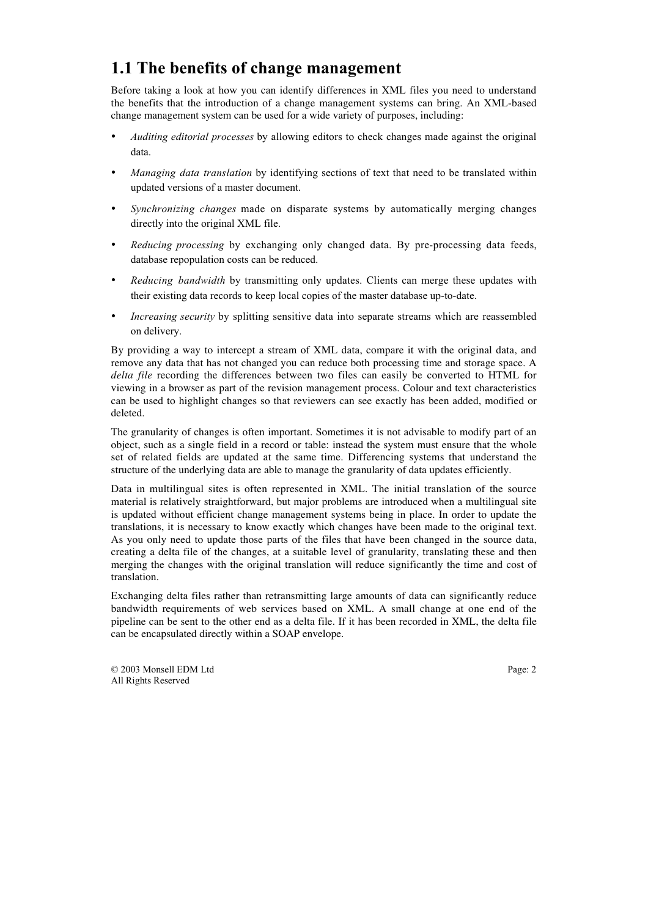# **1.1 The benefits of change management**

Before taking a look at how you can identify differences in XML files you need to understand the benefits that the introduction of a change management systems can bring. An XML-based change management system can be used for a wide variety of purposes, including:

- *Auditing editorial processes* by allowing editors to check changes made against the original data.
- *Managing data translation* by identifying sections of text that need to be translated within updated versions of a master document.
- *Synchronizing changes* made on disparate systems by automatically merging changes directly into the original XML file.
- *Reducing processing* by exchanging only changed data. By pre-processing data feeds, database repopulation costs can be reduced.
- *Reducing bandwidth* by transmitting only updates. Clients can merge these updates with their existing data records to keep local copies of the master database up-to-date.
- *Increasing security* by splitting sensitive data into separate streams which are reassembled on delivery.

By providing a way to intercept a stream of XML data, compare it with the original data, and remove any data that has not changed you can reduce both processing time and storage space. A *delta file* recording the differences between two files can easily be converted to HTML for viewing in a browser as part of the revision management process. Colour and text characteristics can be used to highlight changes so that reviewers can see exactly has been added, modified or deleted.

The granularity of changes is often important. Sometimes it is not advisable to modify part of an object, such as a single field in a record or table: instead the system must ensure that the whole set of related fields are updated at the same time. Differencing systems that understand the structure of the underlying data are able to manage the granularity of data updates efficiently.

Data in multilingual sites is often represented in XML. The initial translation of the source material is relatively straightforward, but major problems are introduced when a multilingual site is updated without efficient change management systems being in place. In order to update the translations, it is necessary to know exactly which changes have been made to the original text. As you only need to update those parts of the files that have been changed in the source data, creating a delta file of the changes, at a suitable level of granularity, translating these and then merging the changes with the original translation will reduce significantly the time and cost of translation.

Exchanging delta files rather than retransmitting large amounts of data can significantly reduce bandwidth requirements of web services based on XML. A small change at one end of the pipeline can be sent to the other end as a delta file. If it has been recorded in XML, the delta file can be encapsulated directly within a SOAP envelope.

© 2003 Monsell EDM Ltd Page: 2 All Rights Reserved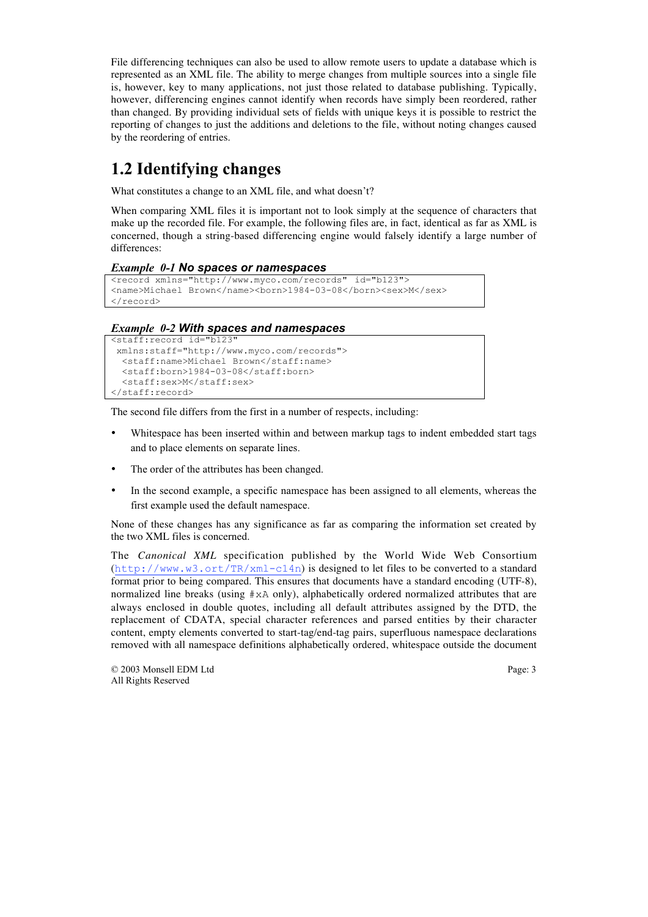File differencing techniques can also be used to allow remote users to update a database which is represented as an XML file. The ability to merge changes from multiple sources into a single file is, however, key to many applications, not just those related to database publishing. Typically, however, differencing engines cannot identify when records have simply been reordered, rather than changed. By providing individual sets of fields with unique keys it is possible to restrict the reporting of changes to just the additions and deletions to the file, without noting changes caused by the reordering of entries.

# **1.2 Identifying changes**

What constitutes a change to an XML file, and what doesn't?

When comparing XML files it is important not to look simply at the sequence of characters that make up the recorded file. For example, the following files are, in fact, identical as far as XML is concerned, though a string-based differencing engine would falsely identify a large number of differences:

#### *Example 0-1 No spaces or namespaces*

```
<record xmlns="http://www.myco.com/records" id="b123">
<name>Michael Brown</name><br/>born>1984-03-08</born><sex>M</sex>
</record>
```
## *Example 0-2 With spaces and namespaces*

```
<staff:record id="b123"
 xmlns:staff="http://www.myco.com/records">
   <staff:name>Michael Brown</staff:name>
   <staff:born>1984-03-08</staff:born>
  <staff:sex>M</staff:sex>
</staff:record>
```
The second file differs from the first in a number of respects, including:

- Whitespace has been inserted within and between markup tags to indent embedded start tags and to place elements on separate lines.
- The order of the attributes has been changed.
- In the second example, a specific namespace has been assigned to all elements, whereas the first example used the default namespace.

None of these changes has any significance as far as comparing the information set created by the two XML files is concerned.

The *Canonical XML* specification published by the World Wide Web Consortium  $(http://www.w3.ort/TR/xml-c14n)$  is designed to let files to be converted to a standard format prior to being compared. This ensures that documents have a standard encoding (UTF-8), normalized line breaks (using #xA only), alphabetically ordered normalized attributes that are always enclosed in double quotes, including all default attributes assigned by the DTD, the replacement of CDATA, special character references and parsed entities by their character content, empty elements converted to start-tag/end-tag pairs, superfluous namespace declarations removed with all namespace definitions alphabetically ordered, whitespace outside the document

© 2003 Monsell EDM Ltd Page: 3 All Rights Reserved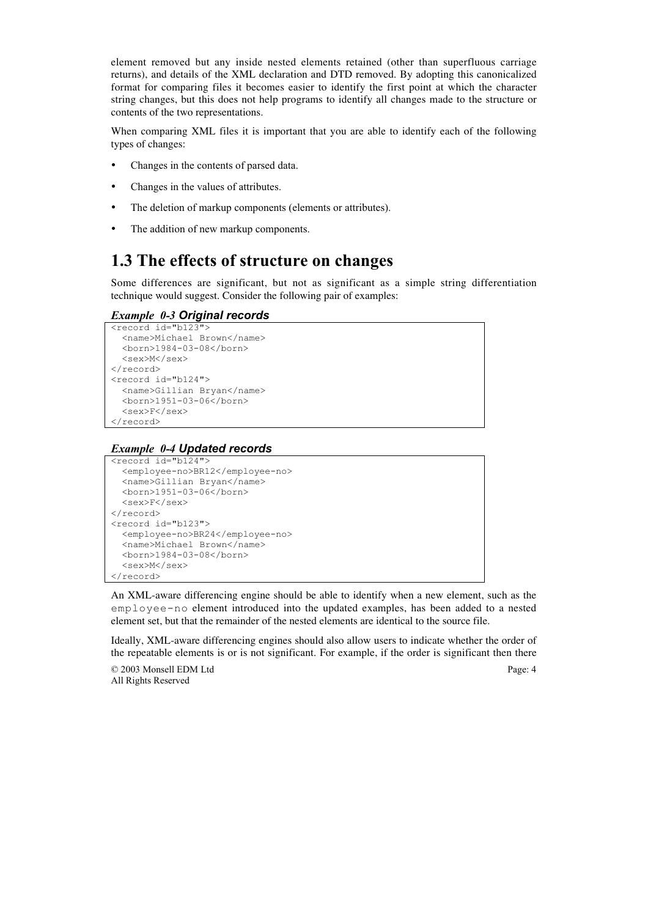element removed but any inside nested elements retained (other than superfluous carriage returns), and details of the XML declaration and DTD removed. By adopting this canonicalized format for comparing files it becomes easier to identify the first point at which the character string changes, but this does not help programs to identify all changes made to the structure or contents of the two representations.

When comparing XML files it is important that you are able to identify each of the following types of changes:

- Changes in the contents of parsed data.
- Changes in the values of attributes.
- The deletion of markup components (elements or attributes).
- The addition of new markup components.

## **1.3 The effects of structure on changes**

Some differences are significant, but not as significant as a simple string differentiation technique would suggest. Consider the following pair of examples:

## *Example 0-3 Original records*

```
<record id="b123">
   <name>Michael Brown</name>
   <born>1984-03-08</born>
   <sex>M</sex>
</record>
<record id="b124">
   <name>Gillian Bryan</name>
  <born>1951-03-06</born>
   <sex>F</sex>
</record>
```
#### *Example 0-4 Updated records*

```
<record id="b124">
   <employee-no>BR12</employee-no>
   <name>Gillian Bryan</name>
  <born>1951-03-06</born>
   <sex>F</sex>
</record>
<record id="b123">
   <employee-no>BR24</employee-no>
   <name>Michael Brown</name>
   <born>1984-03-08</born>
   <sex>M</sex>
\langle/record>
```
An XML-aware differencing engine should be able to identify when a new element, such as the employee-no element introduced into the updated examples, has been added to a nested element set, but that the remainder of the nested elements are identical to the source file.

Ideally, XML-aware differencing engines should also allow users to indicate whether the order of the repeatable elements is or is not significant. For example, if the order is significant then there

© 2003 Monsell EDM Ltd Page: 4 All Rights Reserved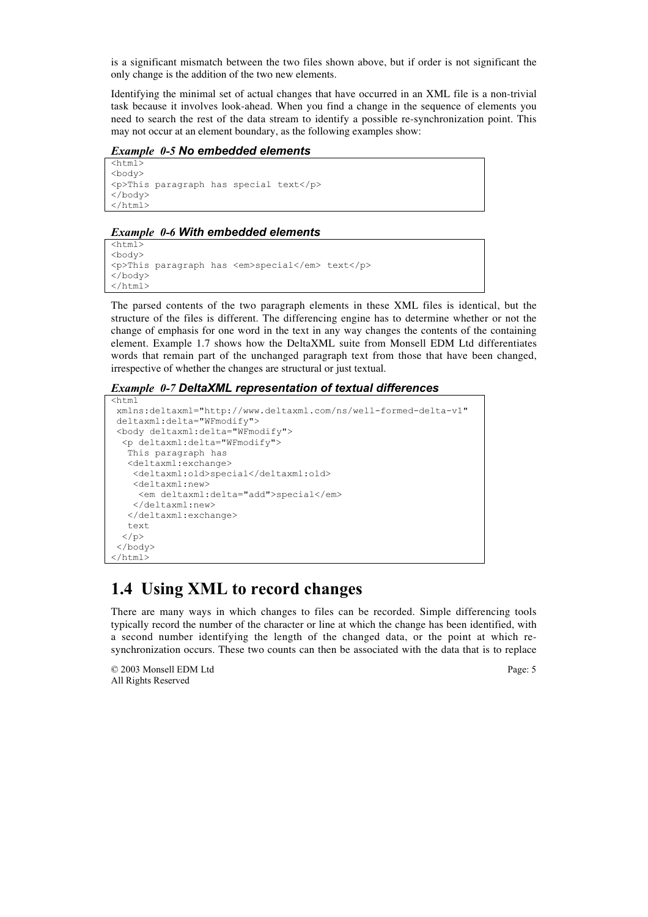is a significant mismatch between the two files shown above, but if order is not significant the only change is the addition of the two new elements.

Identifying the minimal set of actual changes that have occurred in an XML file is a non-trivial task because it involves look-ahead. When you find a change in the sequence of elements you need to search the rest of the data stream to identify a possible re-synchronization point. This may not occur at an element boundary, as the following examples show:

*Example 0-5 No embedded elements*

```
\overline{<html>
<body>
<p>This paragraph has special text</p>
</body>
</html>
```
#### *Example 0-6 With embedded elements*

```
<html><body>
<p>This paragraph has <em>special</em> text</p>
</body>
\langle/html>
```
The parsed contents of the two paragraph elements in these XML files is identical, but the structure of the files is different. The differencing engine has to determine whether or not the change of emphasis for one word in the text in any way changes the contents of the containing element. Example 1.7 shows how the DeltaXML suite from Monsell EDM Ltd differentiates words that remain part of the unchanged paragraph text from those that have been changed, irrespective of whether the changes are structural or just textual.

*Example 0-7 DeltaXML representation of textual differences*

```
<html
 xmlns:deltaxml="http://www.deltaxml.com/ns/well-formed-delta-v1"
 deltaxml:delta="WFmodify">
 <body deltaxml:delta="WFmodify">
   <p deltaxml:delta="WFmodify">
    This paragraph has
    <deltaxml:exchange>
     <deltaxml:old>special</deltaxml:old>
     <deltaxml:new>
      <em deltaxml:delta="add">special</em>
     </deltaxml:new>
    </deltaxml:exchange>
    text
  \langle/p>
 </body>
\langle/html>
```
## **1.4 Using XML to record changes**

There are many ways in which changes to files can be recorded. Simple differencing tools typically record the number of the character or line at which the change has been identified, with a second number identifying the length of the changed data, or the point at which resynchronization occurs. These two counts can then be associated with the data that is to replace

© 2003 Monsell EDM Ltd Page: 5 All Rights Reserved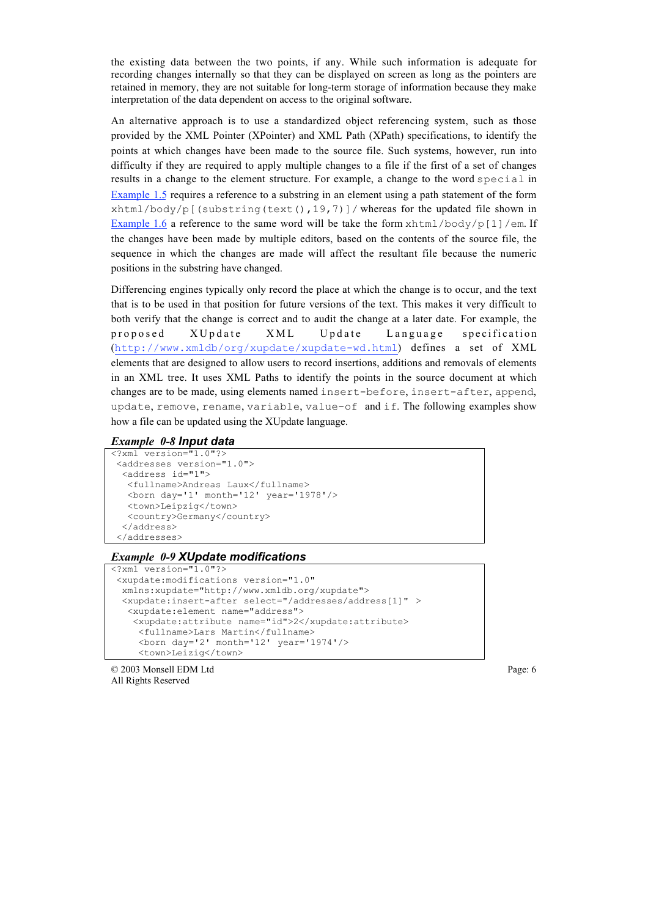the existing data between the two points, if any. While such information is adequate for recording changes internally so that they can be displayed on screen as long as the pointers are retained in memory, they are not suitable for long-term storage of information because they make interpretation of the data dependent on access to the original software.

An alternative approach is to use a standardized object referencing system, such as those provided by the XML Pointer (XPointer) and XML Path (XPath) specifications, to identify the points at which changes have been made to the source file. Such systems, however, run into difficulty if they are required to apply multiple changes to a file if the first of a set of changes results in a change to the element structure. For example, a change to the word special in Example 1.5 requires a reference to a substring in an element using a path statement of the form xhtml/body/p[(substring(text(),19,7)]/ whereas for the updated file shown in Example 1.6 a reference to the same word will be take the form  $x$ html/body/p[1]/em. If the changes have been made by multiple editors, based on the contents of the source file, the sequence in which the changes are made will affect the resultant file because the numeric positions in the substring have changed.

Differencing engines typically only record the place at which the change is to occur, and the text that is to be used in that position for future versions of the text. This makes it very difficult to both verify that the change is correct and to audit the change at a later date. For example, the proposed XUpdate XML Update Language specification (http://www.xmldb/org/xupdate/xupdate-wd.html) defines a set of XML elements that are designed to allow users to record insertions, additions and removals of elements in an XML tree. It uses XML Paths to identify the points in the source document at which changes are to be made, using elements named insert-before, insert-after, append, update, remove, rename, variable, value-of and if. The following examples show how a file can be updated using the XUpdate language.

#### *Example 0-8 Input data*

```
<?xml version="1.0"?>
 <addresses version="1.0">
   <address id="1">
    <fullname>Andreas Laux</fullname>
    <born day='1' month='12' year='1978'/>
    <town>Leipzig</town>
    <country>Germany</country>
   </address>
  </addresses>
```
### *Example 0-9 XUpdate modifications*

```
<?xml version="1.0"?>
  <xupdate:modifications version="1.0"
  xmlns:xupdate="http://www.xmldb.org/xupdate">
  <xupdate:insert-after select="/addresses/address[1]" >
    <xupdate:element name="address">
    <xupdate:attribute name="id">2</xupdate:attribute>
      <fullname>Lars Martin</fullname>
      <born day='2' month='12' year='1974'/>
      <town>Leizig</town>
```
© 2003 Monsell EDM Ltd Page: 6 All Rights Reserved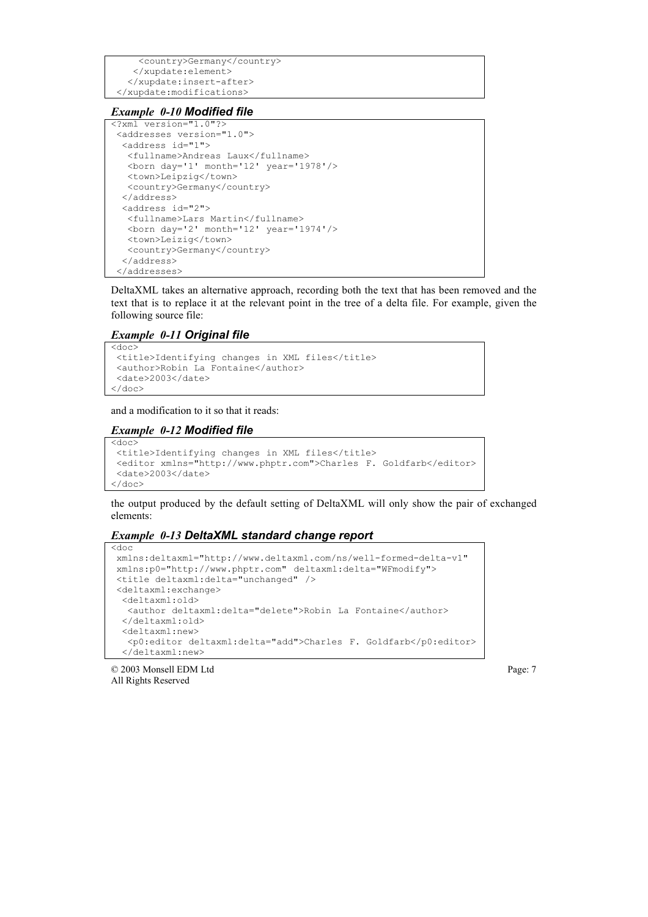```
 <country>Germany</country>
    </xupdate:element>
   </xupdate:insert-after>
 </xupdate:modifications>
```
#### *Example 0-10 Modified file*

```
<?xml version="1.0"?>
  <addresses version="1.0">
   <address id="1">
    <fullname>Andreas Laux</fullname>
    <born day='1' month='12' year='1978'/>
    <town>Leipzig</town>
    <country>Germany</country>
   </address>
   <address id="2">
    <fullname>Lars Martin</fullname>
    <born day='2' month='12' year='1974'/>
    <town>Leizig</town>
    <country>Germany</country>
   </address>
  </addresses>
```
DeltaXML takes an alternative approach, recording both the text that has been removed and the text that is to replace it at the relevant point in the tree of a delta file. For example, given the following source file:

#### *Example 0-11 Original file*

```
<doc>
 <title>Identifying changes in XML files</title>
 <author>Robin La Fontaine</author>
 <date>2003</date>
</doc>
```
and a modification to it so that it reads:

#### *Example 0-12 Modified file*

```
<doc>
  <title>Identifying changes in XML files</title>
  <editor xmlns="http://www.phptr.com">Charles F. Goldfarb</editor>
  <date>2003</date>
\langle / \text{doc} \rangle
```
the output produced by the default setting of DeltaXML will only show the pair of exchanged elements:

#### *Example 0-13 DeltaXML standard change report*

```
 xmlns:deltaxml="http://www.deltaxml.com/ns/well-formed-delta-v1"
 xmlns:p0="http://www.phptr.com" deltaxml:delta="WFmodify">
 <title deltaxml:delta="unchanged" />
 <deltaxml:exchange>
  <deltaxml:old>
   <author deltaxml:delta="delete">Robin La Fontaine</author>
  </deltaxml:old>
  <deltaxml:new>
   <p0:editor deltaxml:delta="add">Charles F. Goldfarb</p0:editor>
  </deltaxml:new>
```
© 2003 Monsell EDM Ltd Page: 7 All Rights Reserved

<doc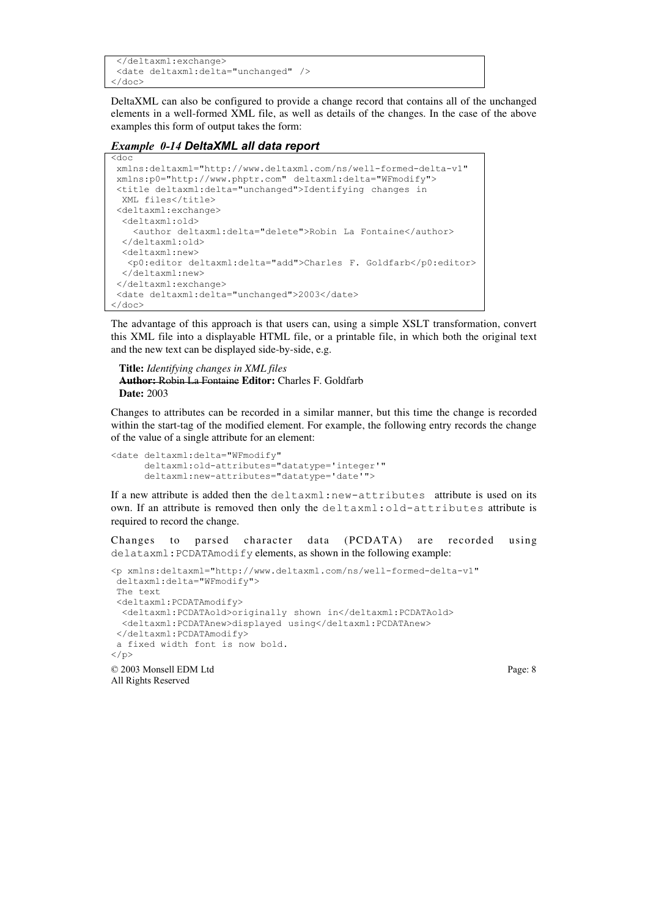```
 </deltaxml:exchange>
 <date deltaxml:delta="unchanged" />
</doc>
```
DeltaXML can also be configured to provide a change record that contains all of the unchanged elements in a well-formed XML file, as well as details of the changes. In the case of the above examples this form of output takes the form:

#### *Example 0-14 DeltaXML all data report*

<doc

```
 xmlns:deltaxml="http://www.deltaxml.com/ns/well-formed-delta-v1"
 xmlns:p0="http://www.phptr.com" deltaxml:delta="WFmodify">
 <title deltaxml:delta="unchanged">Identifying changes in
  XML files</title>
 <deltaxml:exchange>
  <deltaxml:old>
    <author deltaxml:delta="delete">Robin La Fontaine</author>
  </deltaxml:old>
  <deltaxml:new>
   <p0:editor deltaxml:delta="add">Charles F. Goldfarb</p0:editor>
  </deltaxml:new>
 </deltaxml:exchange>
 <date deltaxml:delta="unchanged">2003</date>
</doc>
```
The advantage of this approach is that users can, using a simple XSLT transformation, convert this XML file into a displayable HTML file, or a printable file, in which both the original text and the new text can be displayed side-by-side, e.g.

 **Title:** *Identifying changes in XML files* **Author:** Robin La Fontaine **Editor:** Charles F. Goldfarb **Date:** 2003

Changes to attributes can be recorded in a similar manner, but this time the change is recorded within the start-tag of the modified element. For example, the following entry records the change of the value of a single attribute for an element:

```
<date deltaxml:delta="WFmodify"
       deltaxml:old-attributes="datatype='integer'"
       deltaxml:new-attributes="datatype='date'">
```
If a new attribute is added then the deltaxml:new-attributes attribute is used on its own. If an attribute is removed then only the deltaxml:old-attributes attribute is required to record the change.

Changes to parsed character data (PCDATA) are recorded using delataxml:PCDATAmodify elements, as shown in the following example:

```
© 2003 Monsell EDM Ltd Page: 8
All Rights Reserved
<p xmlns:deltaxml="http://www.deltaxml.com/ns/well-formed-delta-v1" 
 deltaxml:delta="WFmodify">
 The text
 <deltaxml:PCDATAmodify>
  <deltaxml:PCDATAold>originally shown in</deltaxml:PCDATAold>
   <deltaxml:PCDATAnew>displayed using</deltaxml:PCDATAnew>
 </deltaxml:PCDATAmodify>
 a fixed width font is now bold.
\langle/p>
```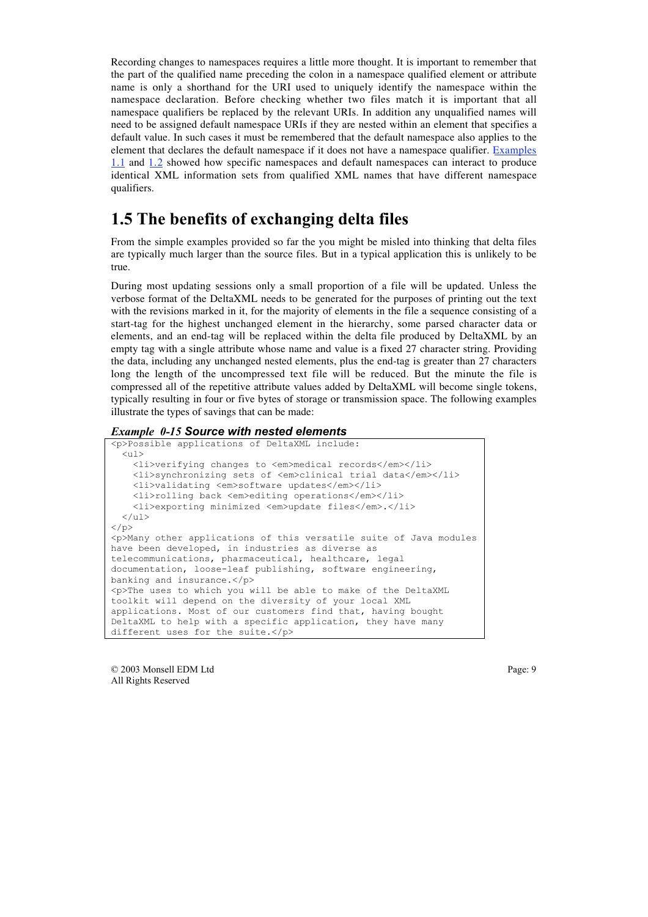Recording changes to namespaces requires a little more thought. It is important to remember that the part of the qualified name preceding the colon in a namespace qualified element or attribute name is only a shorthand for the URI used to uniquely identify the namespace within the namespace declaration. Before checking whether two files match it is important that all namespace qualifiers be replaced by the relevant URIs. In addition any unqualified names will need to be assigned default namespace URIs if they are nested within an element that specifies a default value. In such cases it must be remembered that the default namespace also applies to the element that declares the default namespace if it does not have a namespace qualifier. Examples 1.1 and 1.2 showed how specific namespaces and default namespaces can interact to produce identical XML information sets from qualified XML names that have different namespace qualifiers.

## **1.5 The benefits of exchanging delta files**

From the simple examples provided so far the you might be misled into thinking that delta files are typically much larger than the source files. But in a typical application this is unlikely to be true.

During most updating sessions only a small proportion of a file will be updated. Unless the verbose format of the DeltaXML needs to be generated for the purposes of printing out the text with the revisions marked in it, for the majority of elements in the file a sequence consisting of a start-tag for the highest unchanged element in the hierarchy, some parsed character data or elements, and an end-tag will be replaced within the delta file produced by DeltaXML by an empty tag with a single attribute whose name and value is a fixed 27 character string. Providing the data, including any unchanged nested elements, plus the end-tag is greater than 27 characters long the length of the uncompressed text file will be reduced. But the minute the file is compressed all of the repetitive attribute values added by DeltaXML will become single tokens, typically resulting in four or five bytes of storage or transmission space. The following examples illustrate the types of savings that can be made:

#### *Example 0-15 Source with nested elements*

```
<p>Possible applications of DeltaXML include:
  <ul> <li>verifying changes to <em>medical records</em></li>
     <li>synchronizing sets of <em>clinical trial data</em></li>
     <li>validating <em>software updates</em></li>
     <li>rolling back <em>editing operations</em></li>
     <li>exporting minimized <em>update files</em>.</li>
 \langle/ul>\langle/p>
<p>Many other applications of this versatile suite of Java modules
have been developed, in industries as diverse as
telecommunications, pharmaceutical, healthcare, legal
documentation, loose-leaf publishing, software engineering,
banking and insurance.</p>
<p>The uses to which you will be able to make of the DeltaXML
toolkit will depend on the diversity of your local XML
applications. Most of our customers find that, having bought
DeltaXML to help with a specific application, they have many
different uses for the suite.</p>
```
© 2003 Monsell EDM Ltd Page: 9 All Rights Reserved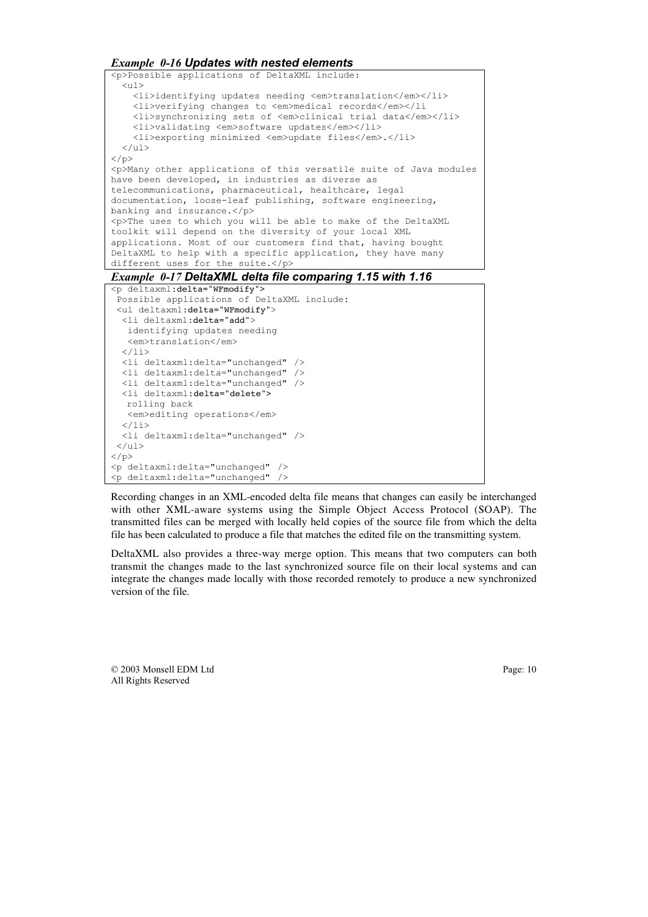*Example 0-16 Updates with nested elements*



Recording changes in an XML-encoded delta file means that changes can easily be interchanged with other XML-aware systems using the Simple Object Access Protocol (SOAP). The transmitted files can be merged with locally held copies of the source file from which the delta file has been calculated to produce a file that matches the edited file on the transmitting system.

DeltaXML also provides a three-way merge option. This means that two computers can both transmit the changes made to the last synchronized source file on their local systems and can integrate the changes made locally with those recorded remotely to produce a new synchronized version of the file.

© 2003 Monsell EDM Ltd Page: 10 All Rights Reserved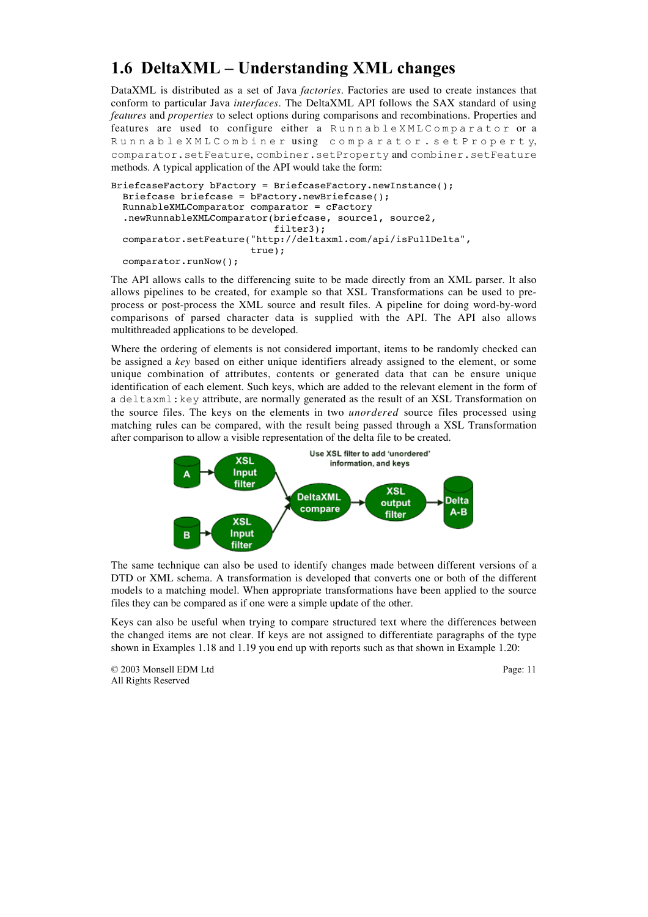# **1.6 DeltaXML – Understanding XML changes**

DataXML is distributed as a set of Java *factories*. Factories are used to create instances that conform to particular Java *interfaces*. The DeltaXML API follows the SAX standard of using *features* and *properties* to select options during comparisons and recombinations. Properties and features are used to configure either a RunnableXMLComparator or a RunnableXMLCombiner using comparator.setProperty, comparator.setFeature, combiner.setProperty and combiner.setFeature methods. A typical application of the API would take the form:

```
BriefcaseFactory bFactory = BriefcaseFactory.newInstance();
   Briefcase briefcase = bFactory.newBriefcase();
   RunnableXMLComparator comparator = cFactory
   .newRunnableXMLComparator(briefcase, source1, source2,
                              filter3);
   comparator.setFeature("http://deltaxml.com/api/isFullDelta",
                          true);
  comparator.runNow();
```
The API allows calls to the differencing suite to be made directly from an XML parser. It also allows pipelines to be created, for example so that XSL Transformations can be used to preprocess or post-process the XML source and result files. A pipeline for doing word-by-word comparisons of parsed character data is supplied with the API. The API also allows multithreaded applications to be developed.

Where the ordering of elements is not considered important, items to be randomly checked can be assigned a *key* based on either unique identifiers already assigned to the element, or some unique combination of attributes, contents or generated data that can be ensure unique identification of each element. Such keys, which are added to the relevant element in the form of a deltaxml:key attribute, are normally generated as the result of an XSL Transformation on the source files. The keys on the elements in two *unordered* source files processed using matching rules can be compared, with the result being passed through a XSL Transformation after comparison to allow a visible representation of the delta file to be created.



The same technique can also be used to identify changes made between different versions of a DTD or XML schema. A transformation is developed that converts one or both of the different models to a matching model. When appropriate transformations have been applied to the source files they can be compared as if one were a simple update of the other.

Keys can also be useful when trying to compare structured text where the differences between the changed items are not clear. If keys are not assigned to differentiate paragraphs of the type shown in Examples 1.18 and 1.19 you end up with reports such as that shown in Example 1.20:

© 2003 Monsell EDM Ltd Page: 11 All Rights Reserved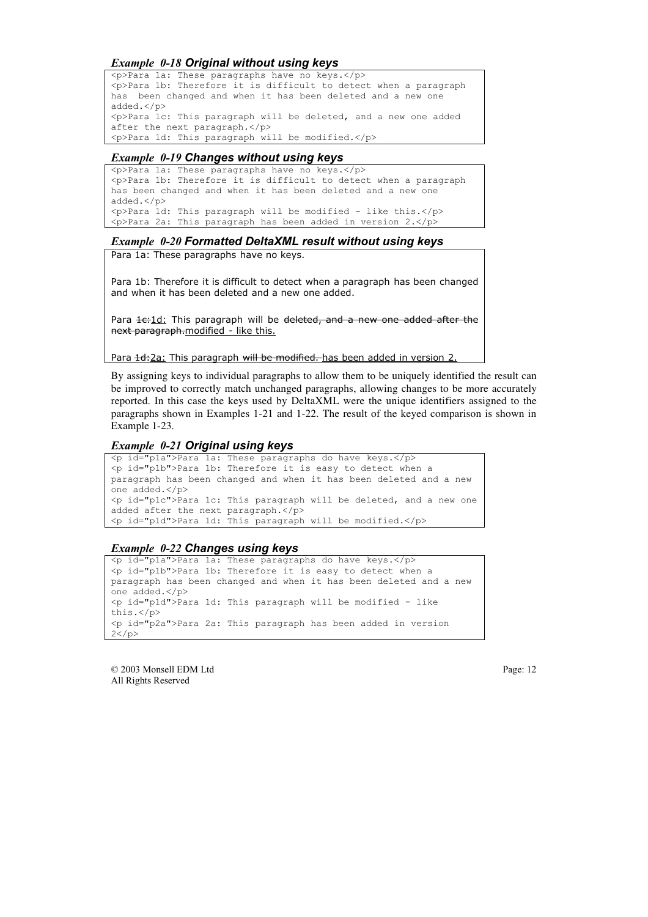#### *Example 0-18 Original without using keys*

<p>Para 1a: These paragraphs have no keys.</p> <p>Para 1b: Therefore it is difficult to detect when a paragraph has been changed and when it has been deleted and a new one added.</p> <p>Para 1c: This paragraph will be deleted, and a new one added after the next paragraph.</p> <p>Para 1d: This paragraph will be modified.</p>

#### *Example 0-19 Changes without using keys*

<p>Para 1a: These paragraphs have no keys.</p> <p>Para 1b: Therefore it is difficult to detect when a paragraph has been changed and when it has been deleted and a new one added.</p> <p>Para 1d: This paragraph will be modified - like this.</p> <p>Para 2a: This paragraph has been added in version 2.</p>

#### *Example 0-20 Formatted DeltaXML result without using keys*

Para 1a: These paragraphs have no keys.

Para 1b: Therefore it is difficult to detect when a paragraph has been changed and when it has been deleted and a new one added.

Para 1c:1d: This paragraph will be deleted, and a new one added after the next paragraph.modified - like this.

Para 1d:2a: This paragraph will be modified. has been added in version 2.

By assigning keys to individual paragraphs to allow them to be uniquely identified the result can be improved to correctly match unchanged paragraphs, allowing changes to be more accurately reported. In this case the keys used by DeltaXML were the unique identifiers assigned to the paragraphs shown in Examples 1-21 and 1-22. The result of the keyed comparison is shown in Example 1-23.

#### *Example 0-21 Original using keys*

```
<p id="p1a">Para 1a: These paragraphs do have keys.</p>
<p id="p1b">Para 1b: Therefore it is easy to detect when a
paragraph has been changed and when it has been deleted and a new
one added.</p>
<p id="p1c">Para 1c: This paragraph will be deleted, and a new one
added after the next paragraph.</p>
<p id="p1d">Para 1d: This paragraph will be modified.</p>
```
#### *Example 0-22 Changes using keys*

```
<p id="p1a">Para 1a: These paragraphs do have keys.</p>
<p id="p1b">Para 1b: Therefore it is easy to detect when a
paragraph has been changed and when it has been deleted and a new
one added.</p>
<p id="p1d">Para 1d: This paragraph will be modified - like
this.</p>
<p id="p2a">Para 2a: This paragraph has been added in version
2</p>
```
© 2003 Monsell EDM Ltd Page: 12 All Rights Reserved